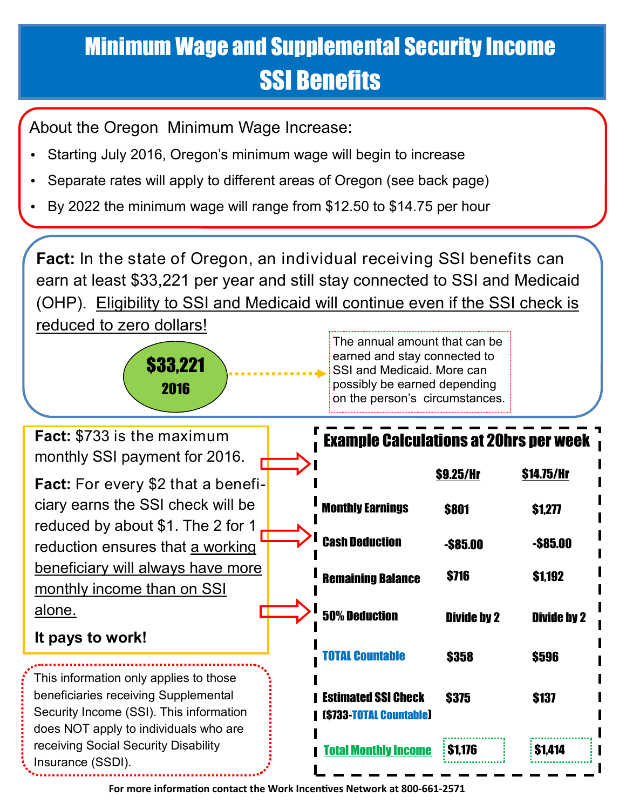## Minimum Wage and Supplemental Security Income SSI Benefits

About the Oregon Minimum Wage Increase:

- Starting July 2016, Oregon's minimum wage will begin to increase
- Separate rates will apply to different areas of Oregon (see back page)
- By 2022 the minimum wage will range from \$12.50 to \$14.75 per hour

**Fact:** In the state of Oregon, an individual receiving SSI benefits can earn at least \$33,221 per year and still stay connected to SSI and Medicaid (OHP). Eligibility to SSI and Medicaid will continue even if the SSI check is reduced to zero dollars!